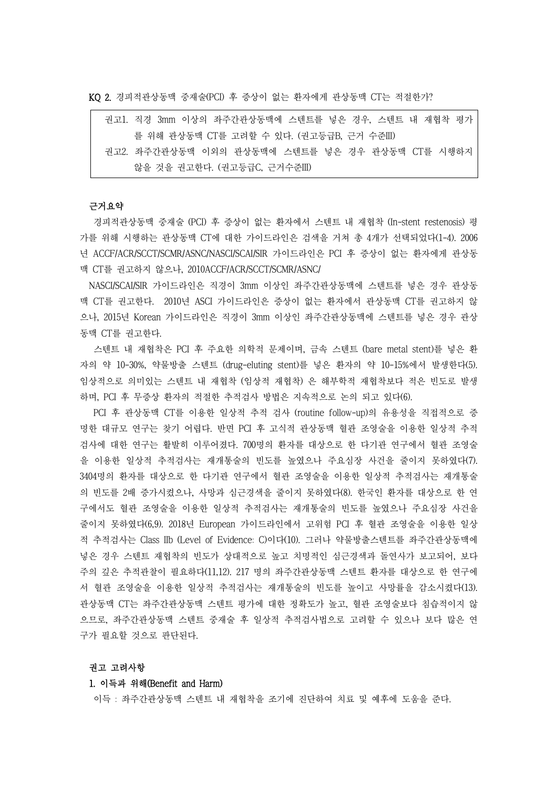KQ 2. 경피적관상동맥 중재술(PCI) 후 증상이 없는 환자에게 관상동맥 CT는 적절한가?

|  | 권고1. 직경 3mm 이상의 좌주간관상동맥에 스텐트를 넣은 경우, 스텐트 내 재협착 평가 |
|--|---------------------------------------------------|
|  | 를 위해 관상동맥 CT를 고려할 수 있다. (권고등급B, 근거 수준III)         |
|  | 권고2. 좌주간관상동맥 이외의 관상동맥에 스텐트를 넣은 경우 관상동맥 CT를 시행하지   |
|  | 않을 것을 권고한다. (권고등급C, 근거수준III)                      |

# 근거요약

경피적관상동맥 중재술 (PCI) 후 증상이 없는 환자에서 스텐트 내 재협착 (In-stent restenosis) 평 가를 위해 시행하는 관상동맥 CT에 대한 가이드라인은 검색을 거쳐 총 4개가 선택되었다(1-4). 2006 년 ACCF/ACR/SCCT/SCMR/ASNC/NASCI/SCAI/SIR 가이드라인은 PCI 후 증상이 없는 환자에게 관상동 맥 CT를 권고하지 않으나, 2010ACCF/ACR/SCCT/SCMR/ASNC/

NASCI/SCAI/SIR 가이드라인은 직경이 3mm 이상인 좌주간관상동맥에 스텐트를 넣은 경우 관상동 맥 CT를 권고한다. 2010년 ASCI 가이드라인은 증상이 없는 환자에서 관상동맥 CT를 권고하지 않 으나, 2015년 Korean 가이드라인은 직경이 3mm 이상인 좌주간관상동맥에 스텐트를 넣은 경우 관상 동맥 CT를 권고한다.

스텐트 내 재협착은 PCI 후 주요한 의학적 문제이며, 금속 스텐트 (bare metal stent)를 넣은 환 자의 약 10-30%, 약물방출 스텐트 (drug-eluting stent)를 넣은 환자의 약 10-15%에서 발생한다(5). 임상적으로 의미있는 스텐트 내 재협착 (임상적 재협착) 은 해부학적 재협착보다 적은 빈도로 발생 하며, PCI 후 무증상 환자의 적절한 추적검사 방법은 지속적으로 논의 되고 있다(6). PCI 후 관상동맥 CT를 이용한 일상적 추적 검사 (routine follow-up)의 유용성을 직접적으로 증

명한 대규모 연구는 찾기 어렵다. 반면 PCI 후 고식적 관상동맥 혈관 조영술을 이용한 일상적 추적 검사에 대한 연구는 활발히 이루어졌다. 700명의 환자를 대상으로 한 다기관 연구에서 혈관 조영술 을 이용한 일상적 추적검사는 재개통술의 빈도를 높였으나 주요심장 사건을 줄이지 못하였다(7). 3404명의 환자를 대상으로 한 다기관 연구에서 혈관 조영술을 이용한 일상적 추적검사는 재개통술 의 빈도를 2배 증가시켰으나, 사망과 심근경색을 줄이지 못하였다(8). 한국인 환자를 대상으로 한 연 구에서도 혈관 조영술을 이용한 일상적 추적검사는 재개통술의 빈도를 높였으나 주요심장 사건을 줄이지 못하였다(6,9). 2018년 European 가이드라인에서 고위험 PCI 후 혈관 조영술을 이용한 일상 적 추적검사는 Class IIb (Level of Evidence: C)이다(10). 그러나 약물방출스텐트를 좌주간관상동맥에 넣은 경우 스텐트 재협착의 빈도가 상대적으로 높고 치명적인 심근경색과 돌연사가 보고되어, 보다 주의 깊은 추적관찰이 필요하다(11,12). 217 명의 좌주간관상동맥 스텐트 환자를 대상으로 한 연구에 서 혈관 조영술을 이용한 일상적 추적검사는 재개통술의 빈도를 높이고 사망률을 감소시켰다(13). 관상동맥 CT는 좌주간관상동맥 스텐트 평가에 대한 정확도가 높고, 혈관 조영술보다 침습적이지 않 으므로, 좌주간관상동맥 스텐트 중재술 후 일상적 추적검사법으로 고려할 수 있으나 보다 많은 연 구가 필요할 것으로 판단된다.

#### 권고 고려사항

#### 1. 이득과 위해(Benefit and Harm)

이득 : 좌주간관상동맥 스텐트 내 재협착을 조기에 진단하여 치료 및 예후에 도움을 준다.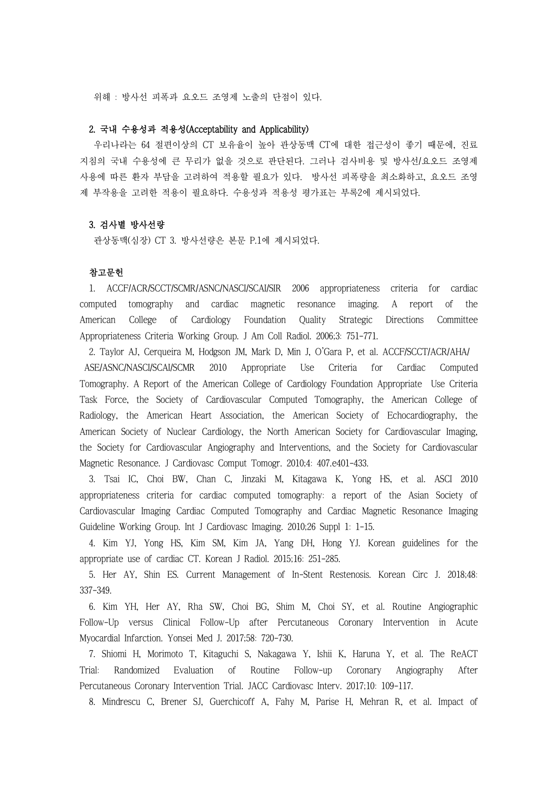위해 : 방사선 피폭과 요오드 조영제 노출의 단점이 있다.

# 2. 국내 수용성과 적용성(Acceptability and Applicability)

우리나라는 64 절편이상의 CT 보유율이 높아 관상동맥 CT에 대한 접근성이 좋기 때문에, 진료 지침의 국내 수용성에 큰 무리가 없을 것으로 판단된다. 그러나 검사비용 및 방사선/요오드 조영제 사용에 따른 환자 부담을 고려하여 적용할 필요가 있다. 방사선 피폭량을 최소화하고, 요오드 조영 제 부작용을 고려한 적용이 필요하다. 수용성과 적용성 평가표는 부록2에 제시되었다.

## 3. 검사별 방사선량

관상동맥(심장) CT 3. 방사선량은 본문 P.1에 제시되었다.

### 참고문헌

1. ACCF/ACR/SCCT/SCMR/ASNC/NASCI/SCAI/SIR 2006 appropriateness criteria for cardiac computed tomography and cardiac magnetic resonance imaging. A report of the American College of Cardiology Foundation Quality Strategic Directions Committee Appropriateness Criteria Working Group. J Am Coll Radiol. 2006;3: 751-771.

2. Taylor AJ, Cerqueira M, Hodgson JM, Mark D, Min J, O'Gara P, et al. ACCF/SCCT/ACR/AHA/ ASE/ASNC/NASCI/SCAI/SCMR 2010 Appropriate Use Criteria for Cardiac Computed Tomography. A Report of the American College of Cardiology Foundation Appropriate Use Criteria Task Force, the Society of Cardiovascular Computed Tomography, the American College of Radiology, the American Heart Association, the American Society of Echocardiography, the American Society of Nuclear Cardiology, the North American Society for Cardiovascular Imaging, the Society for Cardiovascular Angiography and Interventions, and the Society for Cardiovascular Magnetic Resonance. J Cardiovasc Comput Tomogr. 2010;4: 407.e401-433.

3. Tsai IC, Choi BW, Chan C, Jinzaki M, Kitagawa K, Yong HS, et al. ASCI 2010 appropriateness criteria for cardiac computed tomography: a report of the Asian Society of Cardiovascular Imaging Cardiac Computed Tomography and Cardiac Magnetic Resonance Imaging Guideline Working Group. Int J Cardiovasc Imaging. 2010;26 Suppl 1: 1-15.

4. Kim YJ, Yong HS, Kim SM, Kim JA, Yang DH, Hong YJ. Korean guidelines for the appropriate use of cardiac CT. Korean J Radiol. 2015;16: 251-285.

5. Her AY, Shin ES. Current Management of In-Stent Restenosis. Korean Circ J. 2018;48: 337-349.

6. Kim YH, Her AY, Rha SW, Choi BG, Shim M, Choi SY, et al. Routine Angiographic Follow-Up versus Clinical Follow-Up after Percutaneous Coronary Intervention in Acute Myocardial Infarction. Yonsei Med J. 2017;58: 720-730.

7. Shiomi H, Morimoto T, Kitaguchi S, Nakagawa Y, Ishii K, Haruna Y, et al. The ReACT Trial: Randomized Evaluation of Routine Follow-up Coronary Angiography After Percutaneous Coronary Intervention Trial. JACC Cardiovasc Interv. 2017;10: 109-117.

8. Mindrescu C, Brener SJ, Guerchicoff A, Fahy M, Parise H, Mehran R, et al. Impact of